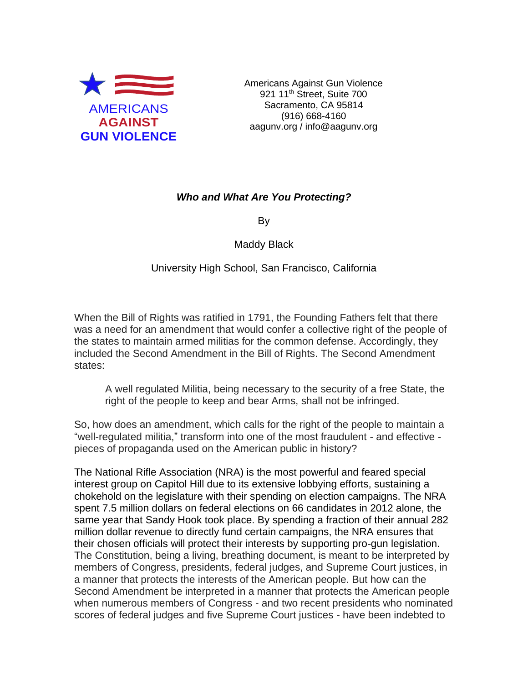

Americans Against Gun Violence 921 11<sup>th</sup> Street, Suite 700 Sacramento, CA 95814 (916) 668-4160 aagunv.org / info@aagunv.org

## *Who and What Are You Protecting?*

By

Maddy Black

University High School, San Francisco, California

When the Bill of Rights was ratified in 1791, the Founding Fathers felt that there was a need for an amendment that would confer a collective right of the people of the states to maintain armed militias for the common defense. Accordingly, they included the Second Amendment in the Bill of Rights. The Second Amendment states:

A well regulated Militia, being necessary to the security of a free State, the right of the people to keep and bear Arms, shall not be infringed.

So, how does an amendment, which calls for the right of the people to maintain a "well-regulated militia," transform into one of the most fraudulent - and effective pieces of propaganda used on the American public in history?

The National Rifle Association (NRA) is the most powerful and feared special interest group on Capitol Hill due to its extensive lobbying efforts, sustaining a chokehold on the legislature with their spending on election campaigns. The NRA spent 7.5 million dollars on federal elections on 66 candidates in 2012 alone, the same year that Sandy Hook took place. By spending a fraction of their annual 282 million dollar revenue to directly fund certain campaigns, the NRA ensures that their chosen officials will protect their interests by supporting pro-gun legislation. The Constitution, being a living, breathing document, is meant to be interpreted by members of Congress, presidents, federal judges, and Supreme Court justices, in a manner that protects the interests of the American people. But how can the Second Amendment be interpreted in a manner that protects the American people when numerous members of Congress - and two recent presidents who nominated scores of federal judges and five Supreme Court justices - have been indebted to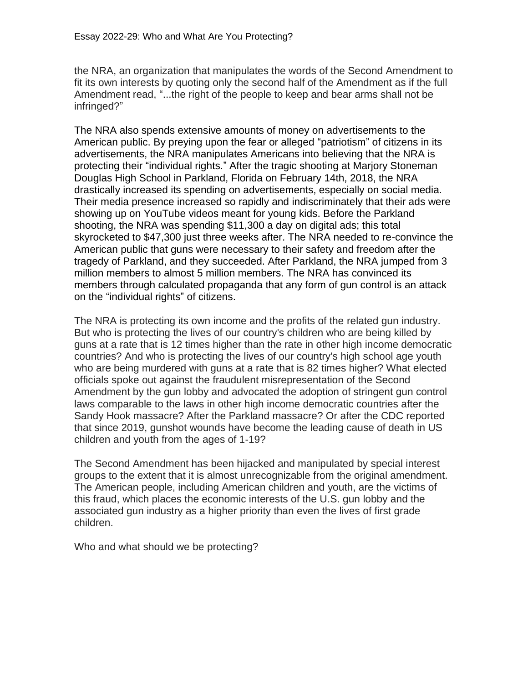the NRA, an organization that manipulates the words of the Second Amendment to fit its own interests by quoting only the second half of the Amendment as if the full Amendment read, "...the right of the people to keep and bear arms shall not be infringed?"

The NRA also spends extensive amounts of money on advertisements to the American public. By preying upon the fear or alleged "patriotism" of citizens in its advertisements, the NRA manipulates Americans into believing that the NRA is protecting their "individual rights." After the tragic shooting at Marjory Stoneman Douglas High School in Parkland, Florida on February 14th, 2018, the NRA drastically increased its spending on advertisements, especially on social media. Their media presence increased so rapidly and indiscriminately that their ads were showing up on YouTube videos meant for young kids. Before the Parkland shooting, the NRA was spending \$11,300 a day on digital ads; this total skyrocketed to \$47,300 just three weeks after. The NRA needed to re-convince the American public that guns were necessary to their safety and freedom after the tragedy of Parkland, and they succeeded. After Parkland, the NRA jumped from 3 million members to almost 5 million members. The NRA has convinced its members through calculated propaganda that any form of gun control is an attack on the "individual rights" of citizens.

The NRA is protecting its own income and the profits of the related gun industry. But who is protecting the lives of our country's children who are being killed by guns at a rate that is 12 times higher than the rate in other high income democratic countries? And who is protecting the lives of our country's high school age youth who are being murdered with guns at a rate that is 82 times higher? What elected officials spoke out against the fraudulent misrepresentation of the Second Amendment by the gun lobby and advocated the adoption of stringent gun control laws comparable to the laws in other high income democratic countries after the Sandy Hook massacre? After the Parkland massacre? Or after the CDC reported that since 2019, gunshot wounds have become the leading cause of death in US children and youth from the ages of 1-19?

The Second Amendment has been hijacked and manipulated by special interest groups to the extent that it is almost unrecognizable from the original amendment. The American people, including American children and youth, are the victims of this fraud, which places the economic interests of the U.S. gun lobby and the associated gun industry as a higher priority than even the lives of first grade children.

Who and what should we be protecting?